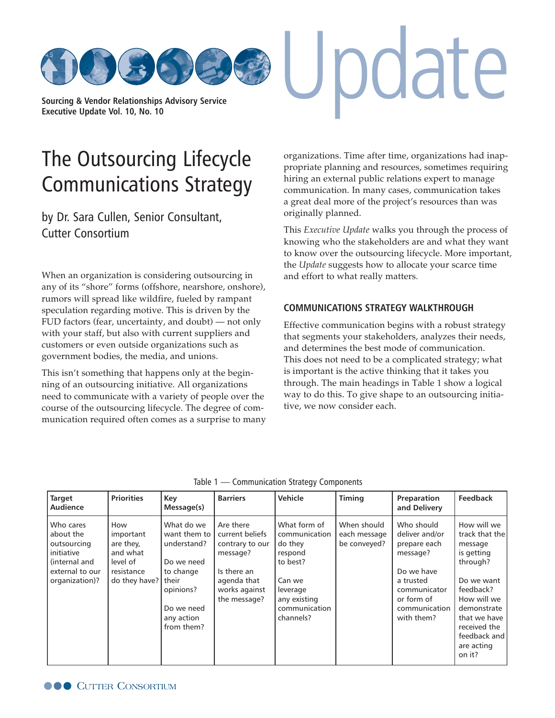**[Sourcing & Vendor Relationships Advisory Service](http://www.cutter.com) Executive Update Vol. 10, No. 10**

# The Outsourcing Lifecycle [Communications Strategy](http://www.cutter.com)

by Dr. Sara Cullen, Senior Consultant, Cutter Consortium

When an organization is considering outsourcing in any of its "shore" forms (offshore, nearshore, onshore), rumors will spread like wildfire, fueled by rampant speculation regarding motive. This is driven by the FUD factors (fear, uncertainty, and doubt) — not only with your staff, but also with current suppliers and customers or even outside organizations such as government bodies, the media, and unions.

This isn't something that happens only at the beginning of an outsourcing initiative. All organizations need to communicate with a variety of people over the course of the outsourcing lifecycle. The degree of communication required often comes as a surprise to many organizations. Time after time, organizations had inappropriate planning and resources, sometimes requiring hiring an external public relations expert to manage communication. In many cases, communication takes a great deal more of the project's resources than was originally planned.

pdate

This *Executive Update* walks you through the process of knowing who the stakeholders are and what they want to know over the outsourcing lifecycle. More important, the *Update* suggests how to allocate your scarce time and effort to what really matters.

#### **COMMUNICATIONS STRATEGY WALKTHROUGH**

Effective communication begins with a robust strategy that segments your stakeholders, analyzes their needs, and determines the best mode of communication. This does not need to be a complicated strategy; what is important is the active thinking that it takes you through. The main headings in Table 1 show a logical way to do this. To give shape to an outsourcing initiative, we now consider each.

| <b>Target</b><br>Audience                                                                                 | <b>Priorities</b>                                                                          | Key<br>Message(s)                                                                                                           | <b>Barriers</b>                                                                                                            | Vehicle                                                                                                                             | <b>Timing</b>                               | Preparation<br>and Delivery                                                                                                                      | Feedback                                                                                                                                                                                            |
|-----------------------------------------------------------------------------------------------------------|--------------------------------------------------------------------------------------------|-----------------------------------------------------------------------------------------------------------------------------|----------------------------------------------------------------------------------------------------------------------------|-------------------------------------------------------------------------------------------------------------------------------------|---------------------------------------------|--------------------------------------------------------------------------------------------------------------------------------------------------|-----------------------------------------------------------------------------------------------------------------------------------------------------------------------------------------------------|
| Who cares<br>about the<br>outsourcing<br>initiative<br>(internal and<br>external to our<br>organization)? | How<br>important<br>are they,<br>and what<br>level of<br>resistance<br>do they have? their | What do we<br>want them to<br>understand?<br>Do we need<br>to change<br>opinions?<br>Do we need<br>any action<br>from them? | Are there<br>current beliefs<br>contrary to our<br>message?<br>Is there an<br>agenda that<br>works against<br>the message? | What form of<br>communication<br>do they<br>respond<br>to best?<br>Can we<br>leverage<br>any existing<br>communication<br>channels? | When should<br>each message<br>be conveyed? | Who should<br>deliver and/or<br>prepare each<br>message?<br>Do we have<br>a trusted<br>communicator<br>or form of<br>communication<br>with them? | How will we<br>track that the<br>message<br>is getting<br>through?<br>Do we want<br>feedback?<br>How will we<br>demonstrate<br>that we have<br>received the<br>feedback and<br>are acting<br>on it? |

| Table 1 - Communication Strategy Components |  |  |  |  |
|---------------------------------------------|--|--|--|--|
|---------------------------------------------|--|--|--|--|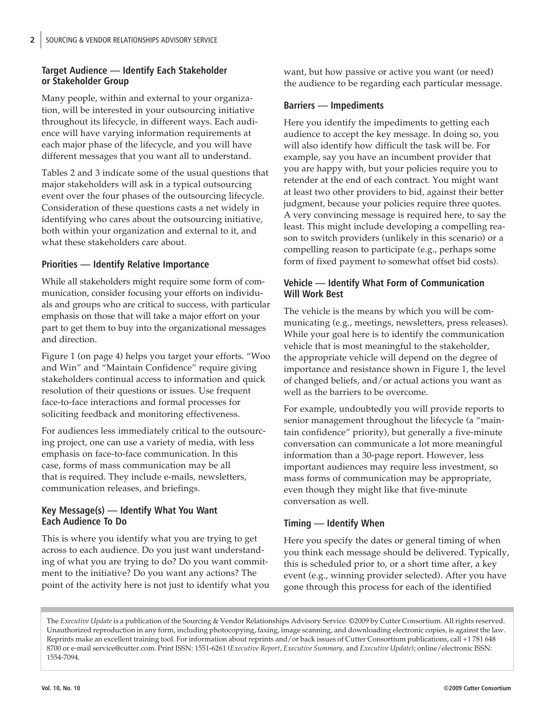## **Target Audience — Identify Each Stakeholder or Stakeholder Group**

Many people, within and external to your organization, will be interested in your outsourcing initiative throughout its lifecycle, in different ways. Each audience will have varying information requirements at each major phase of the lifecycle, and you will have different messages that you want all to understand.

Tables 2 and 3 indicate some of the usual questions that major stakeholders will ask in a typical outsourcing event over the four phases of the outsourcing lifecycle. Consideration of these questions casts a net widely in identifying who cares about the outsourcing initiative, both within your organization and external to it, and what these stakeholders care about.

## **Priorities — Identify Relative Importance**

While all stakeholders might require some form of communication, consider focusing your efforts on individuals and groups who are critical to success, with particular emphasis on those that will take a major effort on your part to get them to buy into the organizational messages and direction.

Figure 1 (on page 4) helps you target your efforts. "Woo and Win" and "Maintain Confidence" require giving stakeholders continual access to information and quick resolution of their questions or issues. Use frequent face-to-face interactions and formal processes for soliciting feedback and monitoring effectiveness.

For audiences less immediately critical to the outsourcing project, one can use a variety of media, with less emphasis on face-to-face communication. In this case, forms of mass communication may be all that is required. They include e-mails, newsletters, communication releases, and briefings.

#### **Key Message(s) — Identify What You Want Each Audience To Do**

This is where you identify what you are trying to get across to each audience. Do you just want understanding of what you are trying to do? Do you want commitment to the initiative? Do you want any actions? The point of the activity here is not just to identify what you want, but how passive or active you want (or need) the audience to be regarding each particular message.

## **Barriers — Impediments**

Here you identify the impediments to getting each audience to accept the key message. In doing so, you will also identify how difficult the task will be. For example, say you have an incumbent provider that you are happy with, but your policies require you to retender at the end of each contract. You might want at least two other providers to bid, against their better judgment, because your policies require three quotes. A very convincing message is required here, to say the least. This might include developing a compelling reason to switch providers (unlikely in this scenario) or a compelling reason to participate (e.g., perhaps some form of fixed payment to somewhat offset bid costs).

## **Vehicle — Identify What Form of Communication Will Work Best**

The vehicle is the means by which you will be communicating (e.g., meetings, newsletters, press releases). While your goal here is to identify the communication vehicle that is most meaningful to the stakeholder, the appropriate vehicle will depend on the degree of importance and resistance shown in Figure 1, the level of changed beliefs, and/or actual actions you want as well as the barriers to be overcome.

For example, undoubtedly you will provide reports to senior management throughout the lifecycle (a "maintain confidence" priority), but generally a five-minute conversation can communicate a lot more meaningful information than a 30-page report. However, less important audiences may require less investment, so mass forms of communication may be appropriate, even though they might like that five-minute conversation as well.

## **Timing — Identify When**

Here you specify the dates or general timing of when you think each message should be delivered. Typically, this is scheduled prior to, or a short time after, a key event (e.g., winning provider selected). After you have gone through this process for each of the identified

The *Executive Update* is a publication of the Sourcing & Vendor Relationships Advisory Service. ©2009 by Cutter Consortium. All rights reserved. Unauthorized reproduction in any form, including photocopying, faxing, image scanning, and downloading electronic copies, is against the law. Reprints make an excellent training tool. For information about reprints and/or back issues of Cutter Consortium publications, call +1 781 648 8700 or e-ma[il service@cutter.com. Print I](mailto:service@cutter.com)SSN: 1551-6261 (*Executive Report*, *Executive Summary,* and *Executive Update*); online/electronic ISSN: 1554-7094.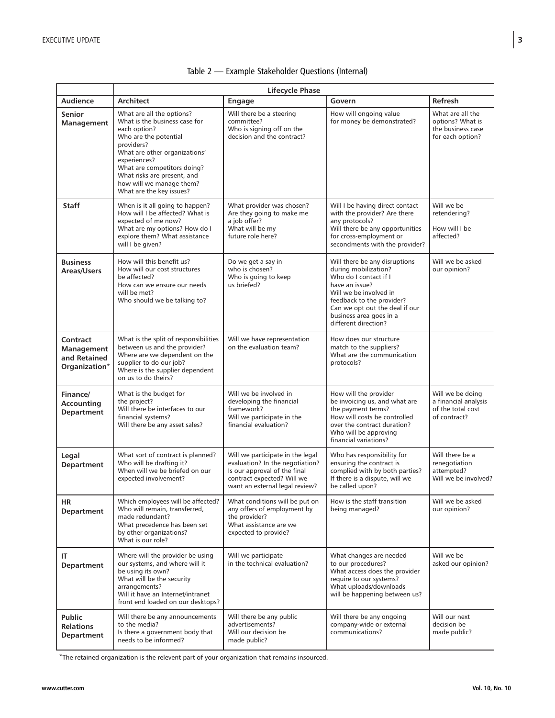|                                                                | <b>Lifecycle Phase</b>                                                                                                                                                                                                                                                                   |                                                                                                                                                                     |                                                                                                                                                                                                                                              |                                                                               |  |
|----------------------------------------------------------------|------------------------------------------------------------------------------------------------------------------------------------------------------------------------------------------------------------------------------------------------------------------------------------------|---------------------------------------------------------------------------------------------------------------------------------------------------------------------|----------------------------------------------------------------------------------------------------------------------------------------------------------------------------------------------------------------------------------------------|-------------------------------------------------------------------------------|--|
| <b>Audience</b>                                                | <b>Architect</b>                                                                                                                                                                                                                                                                         | Engage                                                                                                                                                              | Govern                                                                                                                                                                                                                                       | Refresh                                                                       |  |
| <b>Senior</b><br><b>Management</b>                             | What are all the options?<br>What is the business case for<br>each option?<br>Who are the potential<br>providers?<br>What are other organizations'<br>experiences?<br>What are competitors doing?<br>What risks are present, and<br>how will we manage them?<br>What are the key issues? | Will there be a steering<br>committee?<br>Who is signing off on the<br>decision and the contract?                                                                   | How will ongoing value<br>for money be demonstrated?                                                                                                                                                                                         | What are all the<br>options? What is<br>the business case<br>for each option? |  |
| <b>Staff</b>                                                   | When is it all going to happen?<br>How will I be affected? What is<br>expected of me now?<br>What are my options? How do I<br>explore them? What assistance<br>will I be given?                                                                                                          | What provider was chosen?<br>Are they going to make me<br>a job offer?<br>What will be my<br>future role here?                                                      | Will I be having direct contact<br>with the provider? Are there<br>any protocols?<br>Will there be any opportunities<br>for cross-employment or<br>secondments with the provider?                                                            | Will we be<br>retendering?<br>How will I be<br>affected?                      |  |
| <b>Business</b><br>Areas/Users                                 | How will this benefit us?<br>How will our cost structures<br>be affected?<br>How can we ensure our needs<br>will be met?<br>Who should we be talking to?                                                                                                                                 | Do we get a say in<br>who is chosen?<br>Who is going to keep<br>us briefed?                                                                                         | Will there be any disruptions<br>during mobilization?<br>Who do I contact if I<br>have an issue?<br>Will we be involved in<br>feedback to the provider?<br>Can we opt out the deal if our<br>business area goes in a<br>different direction? | Will we be asked<br>our opinion?                                              |  |
| Contract<br><b>Management</b><br>and Retained<br>Organization* | What is the split of responsibilities<br>between us and the provider?<br>Where are we dependent on the<br>supplier to do our job?<br>Where is the supplier dependent<br>on us to do theirs?                                                                                              | Will we have representation<br>on the evaluation team?                                                                                                              | How does our structure<br>match to the suppliers?<br>What are the communication<br>protocols?                                                                                                                                                |                                                                               |  |
| Finance/<br>Accounting<br><b>Department</b>                    | What is the budget for<br>the project?<br>Will there be interfaces to our<br>financial systems?<br>Will there be any asset sales?                                                                                                                                                        | Will we be involved in<br>developing the financial<br>framework?<br>Will we participate in the<br>financial evaluation?                                             | How will the provider<br>be invoicing us, and what are<br>the payment terms?<br>How will costs be controlled<br>over the contract duration?<br>Who will be approving<br>financial variations?                                                | Will we be doing<br>a financial analysis<br>of the total cost<br>of contract? |  |
| Legal<br><b>Department</b>                                     | What sort of contract is planned?<br>Who will be drafting it?<br>When will we be briefed on our<br>expected involvement?                                                                                                                                                                 | Will we participate in the legal<br>evaluation? In the negotiation?<br>Is our approval of the final<br>contract expected? Will we<br>want an external legal review? | Who has responsibility for<br>ensuring the contract is<br>complied with by both parties?<br>If there is a dispute, will we<br>be called upon?                                                                                                | Will there be a<br>renegotiation<br>attempted?<br>Will we be involved?        |  |
| ΗR<br>Department                                               | Which employees will be affected?<br>Who will remain, transferred,<br>made redundant?<br>What precedence has been set<br>by other organizations?<br>What is our role?                                                                                                                    | What conditions will be put on<br>any offers of employment by<br>the provider?<br>What assistance are we<br>expected to provide?                                    | How is the staff transition<br>being managed?                                                                                                                                                                                                | Will we be asked<br>our opinion?                                              |  |
| ΙT<br>Department                                               | Where will the provider be using<br>our systems, and where will it<br>be using its own?<br>What will be the security<br>arrangements?<br>Will it have an Internet/intranet<br>front end loaded on our desktops?                                                                          | Will we participate<br>in the technical evaluation?                                                                                                                 | What changes are needed<br>to our procedures?<br>What access does the provider<br>require to our systems?<br>What uploads/downloads<br>will be happening between us?                                                                         | Will we be<br>asked our opinion?                                              |  |
| <b>Public</b><br><b>Relations</b><br>Department                | Will there be any announcements<br>to the media?<br>Is there a government body that<br>needs to be informed?                                                                                                                                                                             | Will there be any public<br>advertisements?<br>Will our decision be<br>made public?                                                                                 | Will there be any ongoing<br>company-wide or external<br>communications?                                                                                                                                                                     | Will our next<br>decision be<br>made public?                                  |  |

## Table 2 — Example Stakeholder Questions (Internal)

\*The retained organization is the relevent part of your organization that remains insourced.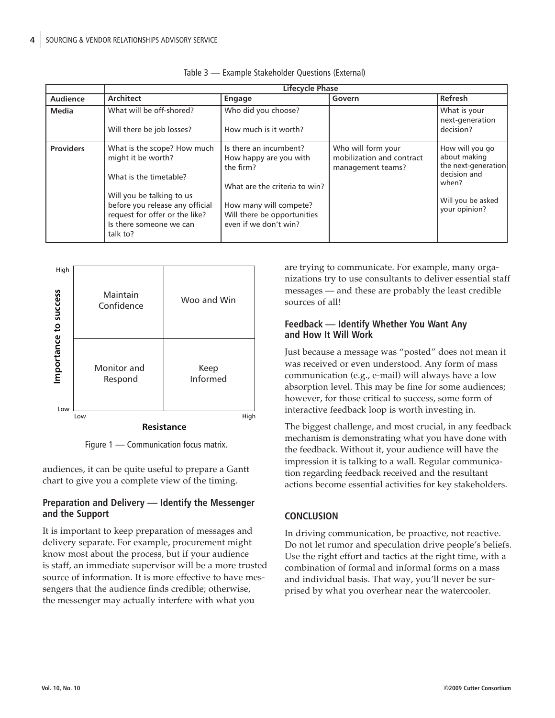|                  | <b>Lifecycle Phase</b>                                                                                                                                                                                               |                                                                                                                                                                                  |                                                                      |                                                                                                                       |
|------------------|----------------------------------------------------------------------------------------------------------------------------------------------------------------------------------------------------------------------|----------------------------------------------------------------------------------------------------------------------------------------------------------------------------------|----------------------------------------------------------------------|-----------------------------------------------------------------------------------------------------------------------|
| Audience         | <b>Architect</b>                                                                                                                                                                                                     | <b>Engage</b>                                                                                                                                                                    | Govern                                                               | Refresh                                                                                                               |
| Media            | What will be off-shored?<br>Will there be job losses?                                                                                                                                                                | Who did you choose?<br>How much is it worth?                                                                                                                                     |                                                                      | What is your<br>next-generation<br>decision?                                                                          |
| <b>Providers</b> | What is the scope? How much<br>might it be worth?<br>What is the timetable?<br>Will you be talking to us<br>before you release any official<br>request for offer or the like?<br>Is there someone we can<br>talk to? | Is there an incumbent?<br>How happy are you with<br>the firm?<br>What are the criteria to win?<br>How many will compete?<br>Will there be opportunities<br>even if we don't win? | Who will form your<br>mobilization and contract<br>management teams? | How will you go<br>about making<br>the next-generation<br>decision and<br>when?<br>Will you be asked<br>your opinion? |

| Table 3 - Example Stakeholder Questions (External) |  |  |  |
|----------------------------------------------------|--|--|--|
|----------------------------------------------------|--|--|--|



Figure 1 — Communication focus matrix.

audiences, it can be quite useful to prepare a Gantt chart to give you a complete view of the timing.

#### **Preparation and Delivery — Identify the Messenger and the Support**

It is important to keep preparation of messages and delivery separate. For example, procurement might know most about the process, but if your audience is staff, an immediate supervisor will be a more trusted source of information. It is more effective to have messengers that the audience finds credible; otherwise, the messenger may actually interfere with what you

are trying to communicate. For example, many organizations try to use consultants to deliver essential staff messages — and these are probably the least credible sources of all!

## **Feedback — Identify Whether You Want Any and How It Will Work**

Just because a message was "posted" does not mean it was received or even understood. Any form of mass communication (e.g., e-mail) will always have a low absorption level. This may be fine for some audiences; however, for those critical to success, some form of interactive feedback loop is worth investing in.

The biggest challenge, and most crucial, in any feedback mechanism is demonstrating what you have done with the feedback. Without it, your audience will have the impression it is talking to a wall. Regular communication regarding feedback received and the resultant actions become essential activities for key stakeholders.

## **CONCLUSION**

In driving communication, be proactive, not reactive. Do not let rumor and speculation drive people's beliefs. Use the right effort and tactics at the right time, with a combination of formal and informal forms on a mass and individual basis. That way, you'll never be surprised by what you overhear near the watercooler.